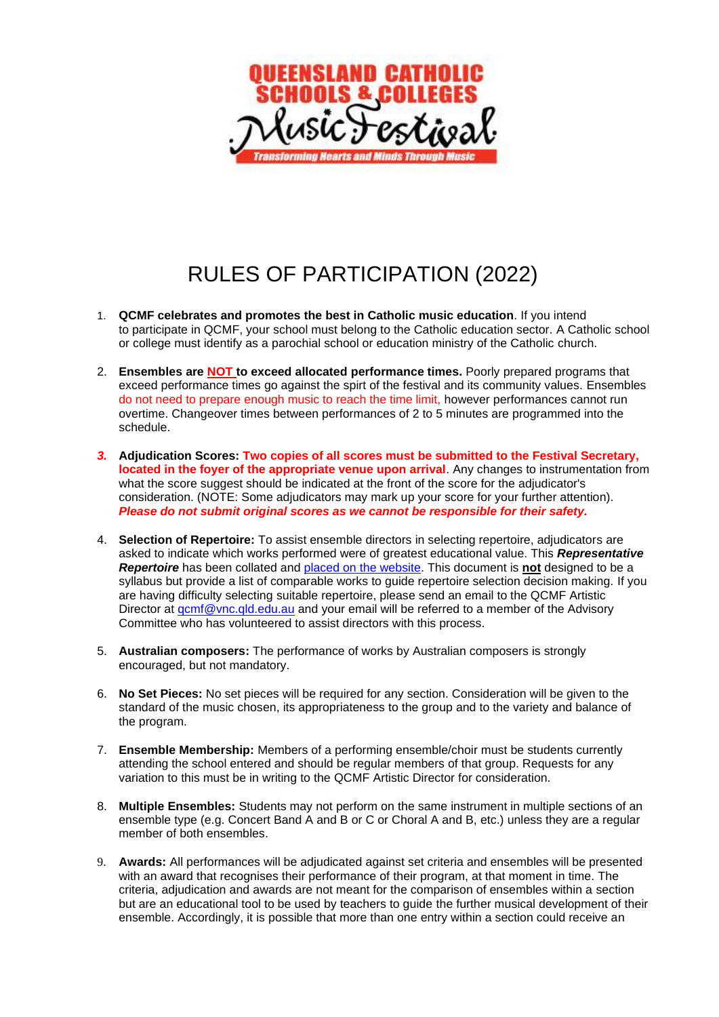

## RULES OF PARTICIPATION (2022)

- 1. **QCMF celebrates and promotes the best in Catholic music education**. If you intend to participate in QCMF, your school must belong to the Catholic education sector. A Catholic school or college must identify as a parochial school or education ministry of the Catholic church.
- 2. **Ensembles are NOT to exceed allocated performance times.** Poorly prepared programs that exceed performance times go against the spirt of the festival and its community values. Ensembles do not need to prepare enough music to reach the time limit, however performances cannot run overtime. Changeover times between performances of 2 to 5 minutes are programmed into the schedule.
- *3.* **Adjudication Scores: Two copies of all scores must be submitted to the Festival Secretary, located in the foyer of the appropriate venue upon arrival**. Any changes to instrumentation from what the score suggest should be indicated at the front of the score for the adjudicator's consideration. (NOTE: Some adjudicators may mark up your score for your further attention). *Please do not submit original scores as we cannot be responsible for their safety.*
- 4. **Selection of Repertoire:** To assist ensemble directors in selecting repertoire, adjudicators are asked to indicate which works performed were of greatest educational value. This *Representative Repertoire* has been collated and [placed on the website.](https://qcmf.com.au/representative-repertoire/) This document is **not** designed to be a syllabus but provide a list of comparable works to guide repertoire selection decision making. If you are having difficulty selecting suitable repertoire, please send an email to the QCMF Artistic Director at gcmf@vnc.gld.edu.au and your email will be referred to a member of the Advisory Committee who has volunteered to assist directors with this process.
- 5. **Australian composers:** The performance of works by Australian composers is strongly encouraged, but not mandatory.
- 6. **No Set Pieces:** No set pieces will be required for any section. Consideration will be given to the standard of the music chosen, its appropriateness to the group and to the variety and balance of the program.
- 7. **Ensemble Membership:** Members of a performing ensemble/choir must be students currently attending the school entered and should be regular members of that group. Requests for any variation to this must be in writing to the QCMF Artistic Director for consideration.
- 8. **Multiple Ensembles:** Students may not perform on the same instrument in multiple sections of an ensemble type (e.g. Concert Band A and B or C or Choral A and B, etc.) unless they are a regular member of both ensembles.
- 9. **Awards:** All performances will be adjudicated against set criteria and ensembles will be presented with an award that recognises their performance of their program, at that moment in time. The criteria, adjudication and awards are not meant for the comparison of ensembles within a section but are an educational tool to be used by teachers to guide the further musical development of their ensemble. Accordingly, it is possible that more than one entry within a section could receive an